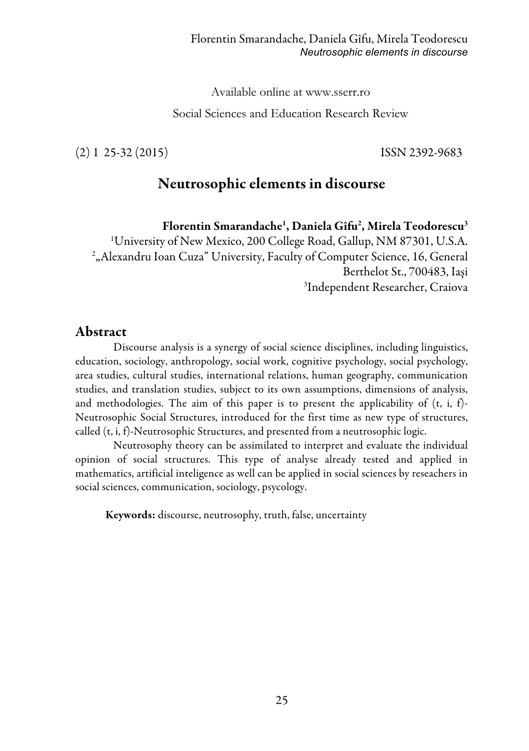Available online at www.sserr.ro

Social Sciences and Education Research Review

(2) 1 25-32 (2015) ISSN 2392-9683

# Neutrosophic elements in discourse

Florentin Smarandache<sup>1</sup>, Daniela Gîfu<sup>2</sup>, Mirela Teodorescu<sup>3</sup>

 University of New Mexico, 200 College Road, Gallup, NM 87301, U.S.A. "Alexandru Ioan Cuza" University, Faculty of Computer Science, 16, General Berthelot St., 700483, Iaşi Independent Researcher, Craiova

## Abstract

Discourse analysis is a synergy of social science disciplines, including linguistics, education, sociology, anthropology, social work, cognitive psychology, social psychology, area studies, cultural studies, international relations, human geography, communication studies, and translation studies, subject to its own assumptions, dimensions of analysis, and methodologies. The aim of this paper is to present the applicability of  $(t, i, f)$ -Neutrosophic Social Structures, introduced for the first time as new type of structures, called (t, i, f)-Neutrosophic Structures, and presented from a neutrosophic logic.

Neutrosophy theory can be assimilated to interpret and evaluate the individual opinion of social structures. This type of analyse already tested and applied in mathematics, artificial inteligence as well can be applied in social sciences by reseachers in social sciences, communication, sociology, psycology.

Keywords: discourse, neutrosophy, truth, false, uncertainty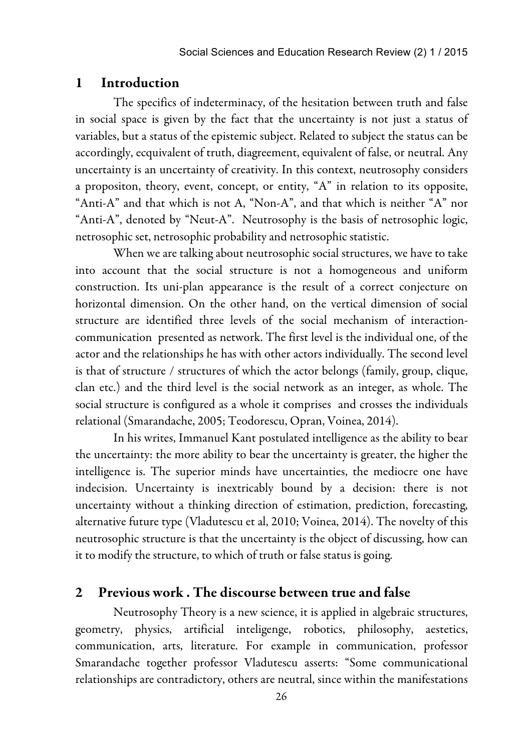#### 1 Introduction

The specifics of indeterminacy, of the hesitation between truth and false in social space is given by the fact that the uncertainty is not just a status of variables, but a status of the epistemic subject. Related to subject the status can be accordingly, ecquivalent of truth, diagreement, equivalent of false, or neutral. Any uncertainty is an uncertainty of creativity. In this context, neutrosophy considers a propositon, theory, event, concept, or entity, "A" in relation to its opposite, "Anti-A" and that which is not A, "Non-A", and that which is neither "A" nor "Anti-A", denoted by "Neut-A". Neutrosophy is the basis of netrosophic logic, netrosophic set, netrosophic probability and netrosophic statistic.

When we are talking about neutrosophic social structures, we have to take into account that the social structure is not a homogeneous and uniform construction. Its uni-plan appearance is the result of a correct conjecture on horizontal dimension. On the other hand, on the vertical dimension of social structure are identified three levels of the social mechanism of interactioncommunication presented as network. The first level is the individual one, of the actor and the relationships he has with other actors individually. The second level is that of structure / structures of which the actor belongs (family, group, clique, clan etc.) and the third level is the social network as an integer, as whole. The social structure is configured as a whole it comprises and crosses the individuals relational (Smarandache, 2005; Teodorescu, Opran, Voinea, 2014).

In his writes, Immanuel Kant postulated intelligence as the ability to bear the uncertainty: the more ability to bear the uncertainty is greater, the higher the intelligence is. The superior minds have uncertainties, the mediocre one have indecision. Uncertainty is inextricably bound by a decision: there is not uncertainty without a thinking direction of estimation, prediction, forecasting, alternative future type (Vladutescu et al, 2010; Voinea, 2014). The novelty of this neutrosophic structure is that the uncertainty is the object of discussing, how can it to modify the structure, to which of truth or false status is going.

## 2 Previous work . The discourse between true and false

Neutrosophy Theory is a new science, it is applied in algebraic structures, geometry, physics, artificial inteligenge, robotics, philosophy, aestetics, communication, arts, literature. For example in communication, professor Smarandache together professor Vladutescu asserts: "Some communicational relationships are contradictory, others are neutral, since within the manifestations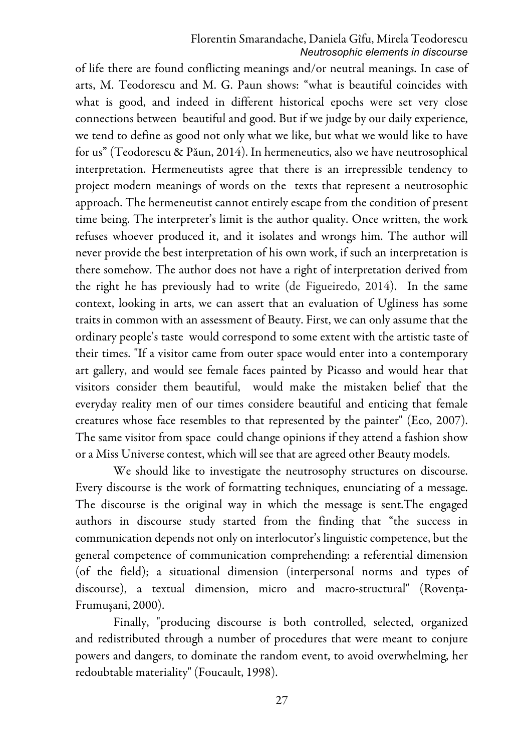#### Florentin Smarandache, Daniela Gîfu, Mirela Teodorescu *Neutrosophic elements in discourse*

of life there are found conflicting meanings and/or neutral meanings. In case of arts, M. Teodorescu and M. G. Paun shows: "what is beautiful coincides with what is good, and indeed in different historical epochs were set very close connections between beautiful and good. But if we judge by our daily experience, we tend to define as good not only what we like, but what we would like to have for us" (Teodorescu & Păun, 2014). In hermeneutics, also we have neutrosophical interpretation. Hermeneutists agree that there is an irrepressible tendency to project modern meanings of words on the texts that represent a neutrosophic approach. The hermeneutist cannot entirely escape from the condition of present time being. The interpreter's limit is the author quality. Once written, the work refuses whoever produced it, and it isolates and wrongs him. The author will never provide the best interpretation of his own work, if such an interpretation is there somehow. The author does not have a right of interpretation derived from the right he has previously had to write (de Figueiredo, 2014). In the same context, looking in arts, we can assert that an evaluation of Ugliness has some traits in common with an assessment of Beauty. First, we can only assume that the ordinary people's taste would correspond to some extent with the artistic taste of their times. "If a visitor came from outer space would enter into a contemporary art gallery, and would see female faces painted by Picasso and would hear that visitors consider them beautiful, would make the mistaken belief that the everyday reality men of our times considere beautiful and enticing that female creatures whose face resembles to that represented by the painter" (Eco, 2007). The same visitor from space could change opinions if they attend a fashion show or a Miss Universe contest, which will see that are agreed other Beauty models.

We should like to investigate the neutrosophy structures on discourse. Every discourse is the work of formatting techniques, enunciating of a message. The discourse is the original way in which the message is sent.The engaged authors in discourse study started from the finding that "the success in communication depends not only on interlocutor's linguistic competence, but the general competence of communication comprehending: a referential dimension (of the field); a situational dimension (interpersonal norms and types of discourse), a textual dimension, micro and macro-structural" (Rovenţa-Frumuşani, 2000).

Finally, "producing discourse is both controlled, selected, organized and redistributed through a number of procedures that were meant to conjure powers and dangers, to dominate the random event, to avoid overwhelming, her redoubtable materiality" (Foucault, 1998).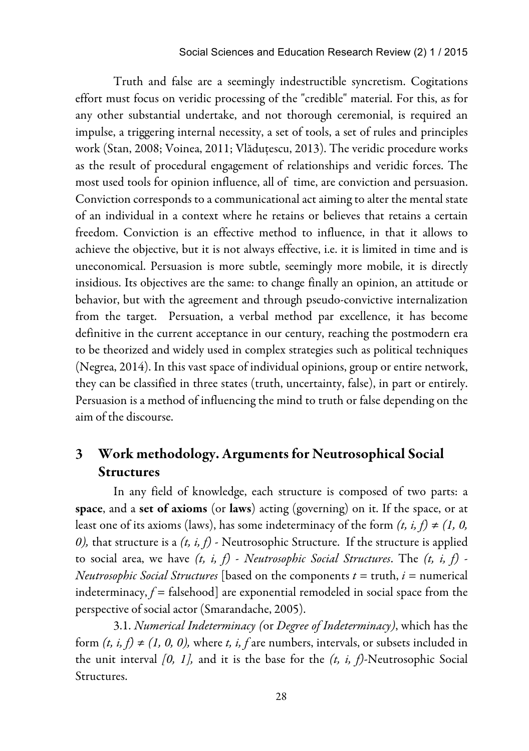#### Social Sciences and Education Research Review (2) 1 / 2015

Truth and false are a seemingly indestructible syncretism. Cogitations effort must focus on veridic processing of the "credible" material. For this, as for any other substantial undertake, and not thorough ceremonial, is required an impulse, a triggering internal necessity, a set of tools, a set of rules and principles work (Stan, 2008; Voinea, 2011; Vlăduțescu, 2013). The veridic procedure works as the result of procedural engagement of relationships and veridic forces. The most used tools for opinion influence, all of time, are conviction and persuasion. Conviction corresponds to a communicational act aiming to alter the mental state of an individual in a context where he retains or believes that retains a certain freedom. Conviction is an effective method to influence, in that it allows to achieve the objective, but it is not always effective, i.e. it is limited in time and is uneconomical. Persuasion is more subtle, seemingly more mobile, it is directly insidious. Its objectives are the same: to change finally an opinion, an attitude or behavior, but with the agreement and through pseudo-convictive internalization from the target. Persuation, a verbal method par excellence, it has become definitive in the current acceptance in our century, reaching the postmodern era to be theorized and widely used in complex strategies such as political techniques (Negrea, 2014). In this vast space of individual opinions, group or entire network, they can be classified in three states (truth, uncertainty, false), in part or entirely. Persuasion is a method of influencing the mind to truth or false depending on the aim of the discourse.

# 3 Work methodology. Arguments for Neutrosophical Social Structures

In any field of knowledge, each structure is composed of two parts: a space, and a set of axioms (or laws) acting (governing) on it. If the space, or at least one of its axioms (laws), has some indeterminacy of the form  $(t, i, f) \neq (1, 0, 1)$ *0),* that structure is a *(t, i, f) -* Neutrosophic Structure. If the structure is applied to social area, we have *(t, i, f)* - *Neutrosophic Social Structures*. The *(t, i, f)* - *Neutrosophic Social Structures* [based on the components  $t = \text{truth}$ ,  $i = \text{numerical}$ indeterminacy,  $f =$  falsehood] are exponential remodeled in social space from the perspective of social actor (Smarandache, 2005).

3.1. *Numerical Indeterminacy (*or *Degree of Indeterminacy)*, which has the form  $(t, i, f) \neq (1, 0, 0)$ , where  $t, i, f$  are numbers, intervals, or subsets included in the unit interval *[0, 1],* and it is the base for the *(t, i, f)-*Neutrosophic Social Structures.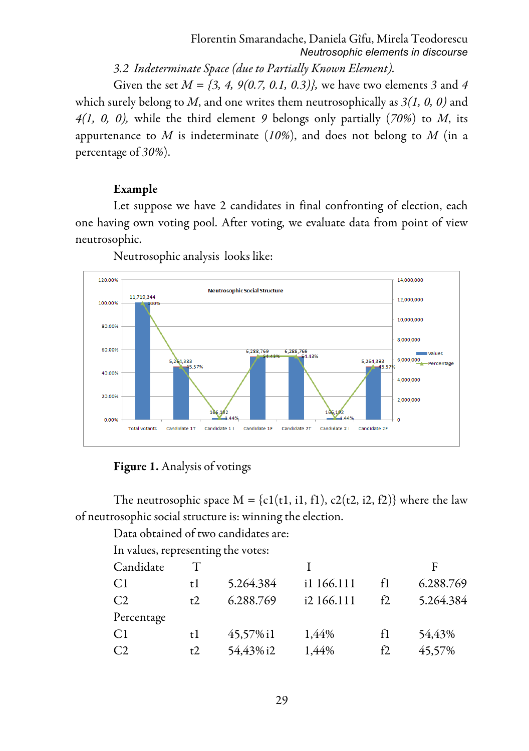*3.2 Indeterminate Space (due to Partially Known Element).* 

Given the set *M = {3, 4, 9(0.7, 0.1, 0.3)},* we have two elements *3* and *4*  which surely belong to *M*, and one writes them neutrosophically as *3(1, 0, 0)* and *4(1, 0, 0),* while the third element *9* belongs only partially (*70%*) to *M*, its appurtenance to *M* is indeterminate (*10%*), and does not belong to *M* (in a percentage of *30%*).

## Example

Let suppose we have 2 candidates in final confronting of election, each one having own voting pool. After voting, we evaluate data from point of view neutrosophic.



Neutrosophic analysis looks like:

## Figure 1. Analysis of votings

The neutrosophic space  $M = \{c1(t1, i1, f1), c2(t2, i2, f2)\}\$  where the law of neutrosophic social structure is: winning the election.

Data obtained of two candidates are:

In values, representing the votes:

| Candidate  |           |            |                                     |            |
|------------|-----------|------------|-------------------------------------|------------|
| t l        |           | i1 166.111 | f1                                  | 6.288.769  |
|            |           |            | f2                                  | 5.264.384  |
| Percentage |           |            |                                     |            |
| t l        | 45,57% i1 | 1,44%      |                                     | 54,43%     |
|            |           | 1,44%      | f2                                  | 45,57%     |
|            |           | t2<br>t2   | 5.264.384<br>6.288.769<br>54,43% i2 | i2 166.111 |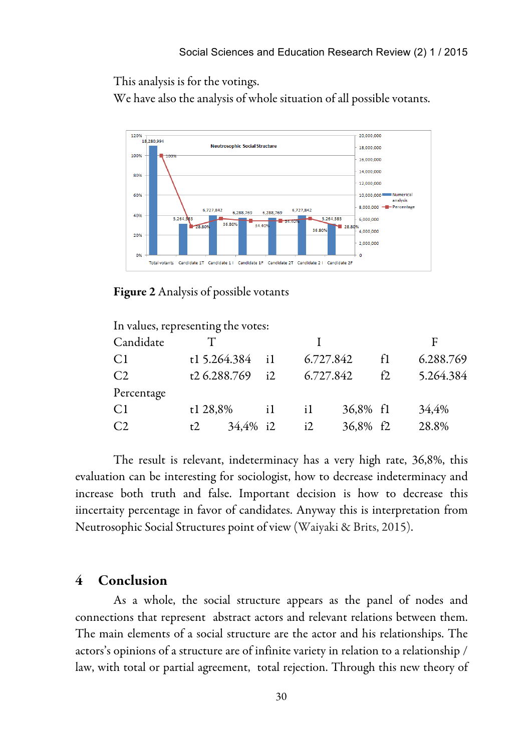This analysis is for the votings.

We have also the analysis of whole situation of all possible votants.



Figure 2 Analysis of possible votants

| F         |
|-----------|
| 6.288.769 |
| 5.264.384 |
|           |
| 34,4%     |
| 28.8%     |
|           |

The result is relevant, indeterminacy has a very high rate, 36,8%, this evaluation can be interesting for sociologist, how to decrease indeterminacy and increase both truth and false. Important decision is how to decrease this iincertaity percentage in favor of candidates. Anyway this is interpretation from Neutrosophic Social Structures point of view (Waiyaki & Brits, 2015).

## 4 Conclusion

As a whole, the social structure appears as the panel of nodes and connections that represent abstract actors and relevant relations between them. The main elements of a social structure are the actor and his relationships. The actors's opinions of a structure are of infinite variety in relation to a relationship / law, with total or partial agreement, total rejection. Through this new theory of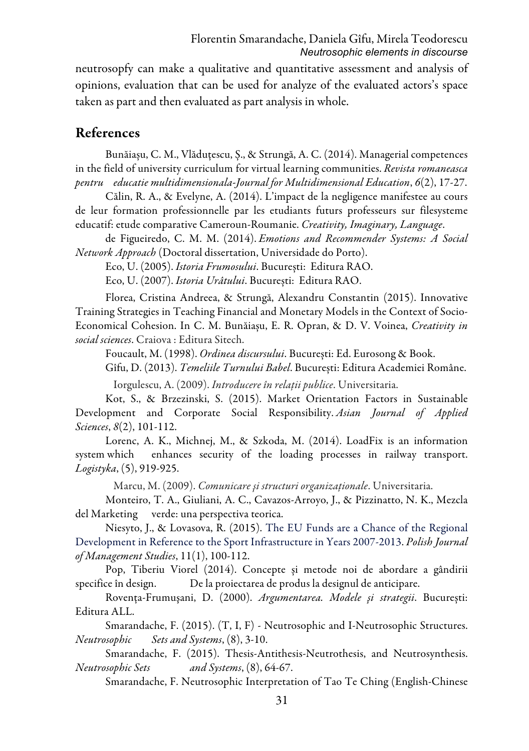neutrosopfy can make a qualitative and quantitative assessment and analysis of opinions, evaluation that can be used for analyze of the evaluated actors's space taken as part and then evaluated as part analysis in whole.

## References

Bunăiașu, C. M., Vlăduțescu, Ș., & Strungă, A. C. (2014). Managerial competences in the field of university curriculum for virtual learning communities. *Revista romaneasca pentru educatie multidimensionala-Journal for Multidimensional Education*, *6*(2), 17-27.

Călin, R. A., & Evelyne, A. (2014). L'impact de la negligence manifestee au cours de leur formation professionnelle par les etudiants futurs professeurs sur filesysteme educatif: etude comparative Cameroun-Roumanie. *Creativity, Imaginary, Language*.

de Figueiredo, C. M. M. (2014). *Emotions and Recommender Systems: A Social Network Approach* (Doctoral dissertation, Universidade do Porto).

Eco, U. (2005). *Istoria Frumosului*. București: Editura RAO.

Eco, U. (2007). *Istoria Urâtului*. București: Editura RAO.

Florea, Cristina Andreea, & Strungă, Alexandru Constantin (2015). Innovative Training Strategies in Teaching Financial and Monetary Models in the Context of Socio-Economical Cohesion. In C. M. Bunăiașu, E. R. Opran, & D. V. Voinea, *Creativity in social sciences*. Craiova : Editura Sitech.

Foucault, M. (1998). *Ordinea discursului*. București: Ed. Eurosong & Book.

Gîfu, D. (2013). *Temeliile Turnului Babel*. București: Editura Academiei Române.

Iorgulescu, A. (2009). *Introducere în rela*ţ*ii publice*. Universitaria.

Kot, S., & Brzezinski, S. (2015). Market Orientation Factors in Sustainable Development and Corporate Social Responsibility. *Asian Journal of Applied Sciences*, *8*(2), 101-112.

Lorenc, A. K., Michnej, M., & Szkoda, M. (2014). LoadFix is an information system which enhances security of the loading processes in railway transport. *Logistyka*, (5), 919-925.

Marcu, M. (2009). *Comunicare* ş*i structuri organiza*ţ*ionale*. Universitaria.

Monteiro, T. A., Giuliani, A. C., Cavazos-Arroyo, J., & Pizzinatto, N. K., Mezcla del Marketing verde: una perspectiva teorica.

Niesyto, J., & Lovasova, R. (2015). The EU Funds are a Chance of the Regional Development in Reference to the Sport Infrastructure in Years 2007-2013. *Polish Journal of Management Studies*, 11(1), 100-112.

Pop, Tiberiu Viorel (2014). Concepte și metode noi de abordare a gândirii specifice în design. De la proiectarea de produs la designul de anticipare.

Rovenţa-Frumuşani, D. (2000). *Argumentarea. Modele* ş*i strategii*. București: Editura ALL.

Smarandache, F. (2015). (T, I, F) - Neutrosophic and I-Neutrosophic Structures. *Neutrosophic Sets and Systems*, (8), 3-10.

Smarandache, F. (2015). Thesis-Antithesis-Neutrothesis, and Neutrosynthesis. *Neutrosophic Sets and Systems*, (8), 64-67.

Smarandache, F. Neutrosophic Interpretation of Tao Te Ching (English-Chinese